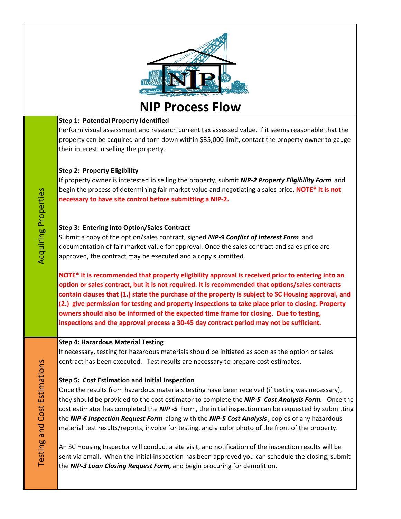

**NIP Process Flow**

# **Step 1: Potential Property Identified**

Perform visual assessment and research current tax assessed value. If it seems reasonable that the property can be acquired and torn down within \$35,000 limit, contact the property owner to gauge their interest in selling the property.

# **Step 2: Property Eligibility**

If property owner is interested in selling the property, submit *NIP-2 Property Eligibility Form* and begin the process of determining fair market value and negotiating a sales price. **NOTE\* It is not necessary to have site control before submitting a NIP-2.** 

# **Step 3: Entering into Option/Sales Contract**

Submit a copy of the option/sales contract, signed *NIP-9 Conflict of Interest Form* and documentation of fair market value for approval. Once the sales contract and sales price are approved, the contract may be executed and a copy submitted.

**NOTE\* It is recommended that property eligibility approval is received prior to entering into an option or sales contract, but it is not required. It is recommended that options/sales contracts contain clauses that (1.) state the purchase of the property is subject to SC Housing approval, and (2.) give permission for testing and property inspections to take place prior to closing. Property owners should also be informed of the expected time frame for closing. Due to testing, inspections and the approval process a 30-45 day contract period may not be sufficient.** 

## **Step 4: Hazardous Material Testing**

If necessary, testing for hazardous materials should be initiated as soon as the option or sales contract has been executed. Test results are necessary to prepare cost estimates.

# **Step 5: Cost Estimation and Initial Inspection**

Once the results from hazardous materials testing have been received (if testing was necessary), they should be provided to the cost estimator to complete the *NIP-5 Cost Analysis Form.* Once the cost estimator has completed the *NIP -5* Form, the initial inspection can be requested by submitting the *NIP-6 Inspection Request Form* along with the *NIP-5 Cost Analysis*, copies of any hazardous material test results/reports, invoice for testing, and a color photo of the front of the property.

An SC Housing Inspector will conduct a site visit, and notification of the inspection results will be sent via email. When the initial inspection has been approved you can schedule the closing, submit the *NIP-3 Loan Closing Request Form,* and begin procuring for demolition.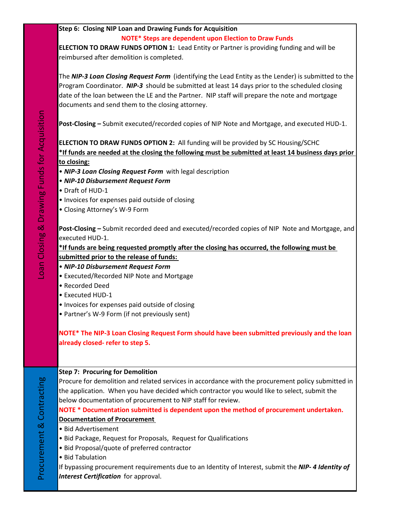# **Step 6: Closing NIP Loan and Drawing Funds for Acquisition**

## **NOTE\* Steps are dependent upon Election to Draw Funds**

**ELECTION TO DRAW FUNDS OPTION 1:** Lead Entity or Partner is providing funding and will be reimbursed after demolition is completed.

The *NIP-3 Loan Closing Request Form* (identifying the Lead Entity as the Lender) is submitted to the Program Coordinator. *NIP-3* should be submitted at least 14 days prior to the scheduled closing date of the loan between the LE and the Partner. NIP staff will prepare the note and mortgage documents and send them to the closing attorney.

**Post-Closing –** Submit executed/recorded copies of NIP Note and Mortgage, and executed HUD-1.

# **ELECTION TO DRAW FUNDS OPTION 2:** All funding will be provided by SC Housing/SCHC **\*If funds are needed at the closing the following must be submitted at least 14 business days prior to closing:**

- *NIP-3 Loan Closing Request Form* with legal description
- *NIP-10 Disbursement Request Form*
- Draft of HUD-1
- Invoices for expenses paid outside of closing
- Closing Attorney's W-9 Form

**Post-Closing –** Submit recorded deed and executed/recorded copies of NIP Note and Mortgage, and executed HUD-1.

**\*If funds are being requested promptly after the closing has occurred, the following must be submitted prior to the release of funds:** 

- • *NIP-10 Disbursement Request Form*
- Executed/Recorded NIP Note and Mortgage
- Recorded Deed
- Executed HUD-1
- Invoices for expenses paid outside of closing
- Partner's W-9 Form (if not previously sent)

**NOTE\* The NIP-3 Loan Closing Request Form should have been submitted previously and the loan already closed- refer to step 5.**

## **Step 7: Procuring for Demolition**

Procure for demolition and related services in accordance with the procurement policy submitted in the application. When you have decided which contractor you would like to select, submit the below documentation of procurement to NIP staff for review.

# **NOTE \* Documentation submitted is dependent upon the method of procurement undertaken.**

# **Documentation of Procurement**

- Bid Advertisement
- Bid Package, Request for Proposals, Request for Qualifications
- Bid Proposal/quote of preferred contractor
- Bid Tabulation

If bypassing procurement requirements due to an Identity of Interest, submit the *NIP- 4 Identity of Interest Certification* for approval.

Procurement & Contracting

Procurement & Contracting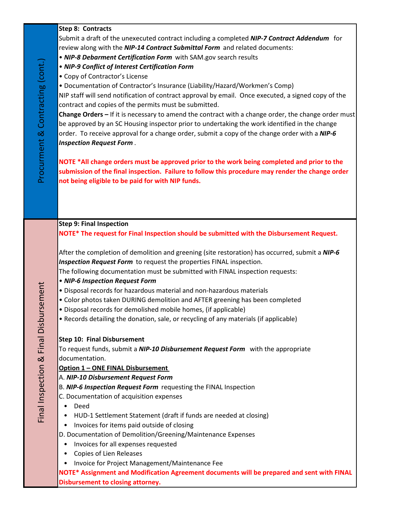## **Step 8: Contracts**

Submit a draft of the unexecuted contract including a completed *NIP-7 Contract Addendum* for review along with the *NIP-14 Contract Submittal Form* and related documents:

- *NIP-8 Debarment Certification Form* with SAM.gov search results
- *NIP-9 Conflict of Interest Certification Form*
- Copy of Contractor's License

• Documentation of Contractor's Insurance (Liability/Hazard/Workmen's Comp)

NIP staff will send notification of contract approval by email. Once executed, a signed copy of the contract and copies of the permits must be submitted.

**Change Orders –** If it is necessary to amend the contract with a change order, the change order must be approved by an SC Housing inspector prior to undertaking the work identified in the change order. To receive approval for a change order, submit a copy of the change order with a *NIP-6 Inspection Request Form* .

**NOTE \*All change orders must be approved prior to the work being completed and prior to the submission of the final inspection. Failure to follow this procedure may render the change order not being eligible to be paid for with NIP funds.**

#### **Step 9: Final Inspection**

**NOTE\* The request for Final Inspection should be submitted with the Disbursement Request.** 

After the completion of demolition and greening (site restoration) has occurred, submit a *NIP-6 Inspection Request Form* to request the properties FINAL inspection.

The following documentation must be submitted with FINAL inspection requests:

- *NIP-6 Inspection Request Form*
- Disposal records for hazardous material and non-hazardous materials
- Color photos taken DURING demolition and AFTER greening has been completed
- Disposal records for demolished mobile homes, (if applicable)
- Records detailing the donation, sale, or recycling of any materials (if applicable)

## **Step 10: Final Disbursement**

To request funds, submit a *NIP-10 Disbursement Request Form* with the appropriate documentation.

#### **Option 1 – ONE FINAL Disbursement**

#### A. *NIP-10 Disbursement Request Form*

B. *NIP-6 Inspection Request Form* requesting the FINAL Inspection

- C. Documentation of acquisition expenses
- Deed

Final Inspection & Final Disbursement

Final Inspection & Final Disbursement

- HUD-1 Settlement Statement (draft if funds are needed at closing)
- Invoices for items paid outside of closing
- D. Documentation of Demolition/Greening/Maintenance Expenses
	- Invoices for all expenses requested
	- Copies of Lien Releases
- Invoice for Project Management/Maintenance Fee

**NOTE\* Assignment and Modification Agreement documents will be prepared and sent with FINAL Disbursement to closing attorney.**